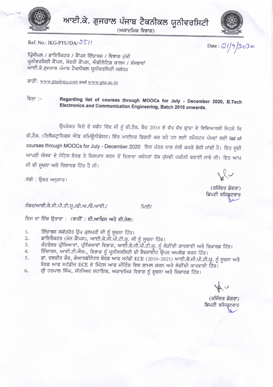

ਆਈ.ਕੇ. ਗੁਜਰਾਲ ਪੰਜਾਬ ਟੈਕਨੀਕਲ ਯੂਨੀਵਰਸਿਟੀ

(ਅਕਾਦਮਿਕ ਵਿਭਾਗ)



Ref. No.: IKG-PTU/DA/ $251$ 

 $Date: 21/9/2020$ 

ਪ੍ਰਿੰਸੀਪਲ / ਡਾਇਰੈਕਟਰ / ਕੈਂਪਸ ਇੰਚਾਰਜ / ਵਿਭਾਗ ਮੁੱਖੀ ਯੂਨੀਵਰਸਿਟੀ ਕੈਂਪਸ, ਖੇਤਰੀ ਕੈਂਪਸ, ਐਫੀਲੇਟਿਡ ਕਾਲਜ / ਸੰਸਥਾਵਾਂ ਆਈ.ਕੇ.ਗੁਜਰਾਲ ਪੰਜਾਬ ਟੈਕਨੀਕਲ ਯੂਨੀਵਰਸਿਟੀ ਜਲੰਧਰ

ਰਾਹੀ: www.ptudocs.com and www.ptu.ac.in

ਵਿਸ਼ਾ :– Regarding list of courses through MOOCs for July - December 2020, B.Tech Electronics and Communication Engineering, Batch 2018 onwards.

ਉਪਰੋਕਤ ਵਿਸ਼ੇ ਦੇ ਸਬੰਧ ਵਿੱਚ ਜੀ ਨੂੰ ਬੀ.ਟੈਕ. ਬੈਚ 2018 ਦੇ ਵੱਖ ਵੱਖ ਬ੍ਰਾਂਚਾ ਦੇ ਵਿਦਿਆਰਥੀ ਜਿਹੜੇ ਕਿ ਬੀ.ਟੈਕ. (ਇਲੈਕਟ੍ਰਾਨਿਕਸ ਐਂਡ ਕਮਿਊਨੀਕੇਸਨ) ਵਿੱਚ ਮਾਈਨਰ ਡਿਗਰੀ ਕਰ ਰਹੇ ਹਨ ਲਈ ਸਮੈਸਟਰ ਪੰਜਵਾਂ ਲਈ list of courses through MOOCs for July - December 2020 ਇਸ ਪੱਤਰ ਨਾਲ ਨੱਥੀ ਕਰਕੇ ਭੇਜੀ ਜਾਂਦੀ ਹੈ। ਇਹ ਸੂਚੀ ਆਪਣੀ ਸੰਸਥਾ ਦੇ ਨੋਟਿਸ ਬੋਰਡ ਤੇ ਚਿਸਪਾਨ ਕਰਨ ਤੋਂ ਇਲਾਵਾ ਸਬੰਧਤਾਂ ਤੱਕ ਪੁੱਜਦੀ ਯਕੀਨੀ ਬਣਾਈ ਜਾਵੇ ਜੀ। ਇਹ ਆਪ ਜੀ ਦੀ ਸੂਚਨਾ ਅਤੇ ਰਿਕਾਰਡ ਹਿੱਤ ਹੈ ਜੀ।

ਨੱਥੀ : ਉਕਤ ਅਨਸਾਰ।

(ਰਜਿੰਦਰ ਡੋਗਰਾ) ਡਿਪਟੀ ਰਜਿਸ਼ਟਰਾਰ

ਨੰਬਰ/ਆਈ.ਕੇ.ਜੀ.ਪੀ.ਟੀ.ਯੂ./ਡੀ.ਅ./ਓ.ਆਈ./ ਮਿਤੀ/

ਇਸ ਦਾ ਇੱਕ ਉਤਾਰਾ : (ਰਾਹੀਂ : ਈ.ਆਫਿਸ ਅਤੇ ਈ.ਮੇਲ)

- 1. ਇੰਚਾਰਜ ਸਕੱਤਰੇਤ ਉਪ ਕੁਲਪਤੀ ਜੀ ਨੂੰ ਸੂਚਨਾ ਹਿੱਤ।
- ਡਾਇਰੈਕਟਰ (ਮੇਨ ਕੈਂਪਸ), ਆਈ.ਕੇ.ਜੀ.ਪੀ.ਟੀ.ਯੂ. ਜੀ ਨੂੰ ਸੂਚਨਾ ਹਿੱਤ।  $2.$
- ਕੰਟਰੋਲਰ ਪ੍ਰੀਖਿਆਵਾਂ, ਪ੍ਰੀਖਿਆਵਾਂ ਵਿਭਾਗ, ਆਈ.ਕੇ.ਜੀ.ਪੀ.ਟੀ.ਯੂ. ਨੂੰ ਲੋੜੀਂਦੀ ਕਾਰਵਾਈ ਅਤੇ ਰਿਕਾਰਡ ਹਿੱਤ। 3.
- ਇੰਚਾਰਜ, ਆਈ.ਟੀ.ਐਸ., ਵਿਭਾਗ ਨੂੰ ਯੂਨੀਵਰਸਿਟੀ ਦੀ ਵੈਬਸਾਈਟ ਉਪਰ ਅਪਲੋਡ ਕਰਨ ਹਿੱਤ। 4.
- ਡਾ. ਦਲਵੀਰ ਕੌਰ, ਕੋਆਰਡੀਨੇਟਰ ਬੋਰਡ ਆਫ ਸਟੱਡੀ ECE (2019-2021) ਆਈ.ਕੇ.ਜੀ.ਪੀ.ਟੀ.ਯੂ. ਨੂੰ ਸੂਚਨਾ ਅਤੇ 5. ਬੋਰਡ ਆਫ ਸਟੱਡੀਜ਼ ECE ਦੇ ਮਿੰਟਸ ਆਫ ਮੀਟਿੰਗ ਵਿਚ ਸ਼ਾਮਲ ਕਰਨ ਅਤੇ ਲੋੜੀਂਦੀ ਕਾਰਵਾਈ ਹਿੱਤ।
- ਸ੍ਰੀ ਹਰਪਾਲ ਸਿੰਘ, ਸੀਨੀਅਰ ਸਹਾਇਕ, ਅਕਾਦਮਿਕ ਵਿਭਾਗ ਨੂੰ ਸੂਚਨਾ ਅਤੇ ਰਿਕਾਰਡ ਹਿੱਤ। 6.

(ਰਜਿੰਦਰ ਡੋਗਰਾ) ਡਿਪਟੀ ਰਜਿਸਟਰਾਰ